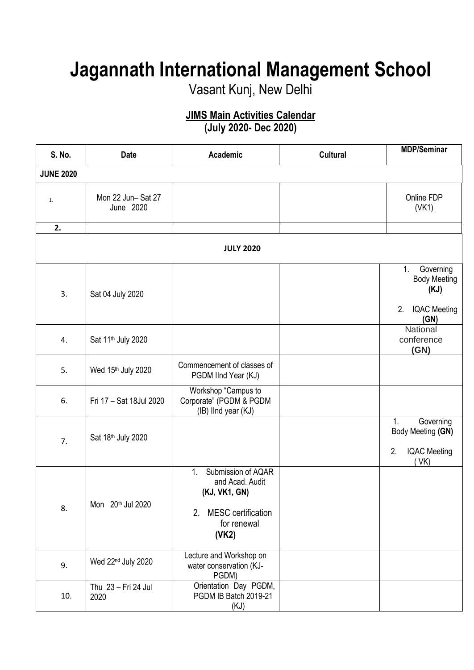## **Jagannath International Management School**

Vasant Kunj, New Delhi

## **JIMS Main Activities Calendar**

**(July 2020- Dec 2020)**

| S. No.           | <b>Date</b>                    | Academic                                                                                                                            | <b>Cultural</b> | <b>MDP/Seminar</b>                                                                                |  |
|------------------|--------------------------------|-------------------------------------------------------------------------------------------------------------------------------------|-----------------|---------------------------------------------------------------------------------------------------|--|
| <b>JUNE 2020</b> |                                |                                                                                                                                     |                 |                                                                                                   |  |
| 1.               | Mon 22 Jun-Sat 27<br>June 2020 |                                                                                                                                     |                 | Online FDP<br>(VK1)                                                                               |  |
| 2.               |                                |                                                                                                                                     |                 |                                                                                                   |  |
|                  |                                | <b>JULY 2020</b>                                                                                                                    |                 |                                                                                                   |  |
| 3.               | Sat 04 July 2020               |                                                                                                                                     |                 | $\overline{1}$ .<br>Governing<br><b>Body Meeting</b><br>(KJ)<br>2.<br><b>IQAC Meeting</b><br>(GN) |  |
| 4.               | Sat 11 <sup>th</sup> July 2020 |                                                                                                                                     |                 | National<br>conference<br>(GN)                                                                    |  |
| 5.               | Wed 15th July 2020             | Commencement of classes of<br>PGDM IInd Year (KJ)                                                                                   |                 |                                                                                                   |  |
| 6.               | Fri 17 - Sat 18Jul 2020        | Workshop "Campus to<br>Corporate" (PGDM & PGDM<br>(IB) IInd year (KJ)                                                               |                 |                                                                                                   |  |
| 7.               | Sat 18th July 2020             |                                                                                                                                     |                 | 1.<br>Governing<br>Body Meeting (GN)<br>2.<br><b>IQAC Meeting</b><br>VK)                          |  |
| 8.               | Mon 20th Jul 2020              | Submission of AQAR<br>1 <sub>1</sub><br>and Acad. Audit<br>(KJ, VK1, GN)<br><b>MESC</b> certification<br>2.<br>for renewal<br>(VK2) |                 |                                                                                                   |  |
| 9.               | Wed 22 <sup>nd</sup> July 2020 | Lecture and Workshop on<br>water conservation (KJ-<br>PGDM)                                                                         |                 |                                                                                                   |  |
| 10.              | Thu 23 - Fri 24 Jul<br>2020    | Orientation Day PGDM,<br>PGDM IB Batch 2019-21<br>(KJ)                                                                              |                 |                                                                                                   |  |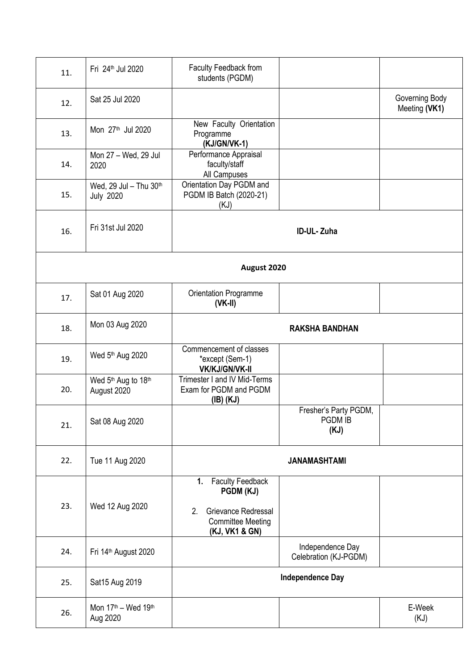| 11. | Fri 24th Jul 2020                                       | Faculty Feedback from<br>students (PGDM)                                                                              |                                           |                                 |  |  |
|-----|---------------------------------------------------------|-----------------------------------------------------------------------------------------------------------------------|-------------------------------------------|---------------------------------|--|--|
| 12. | Sat 25 Jul 2020                                         |                                                                                                                       |                                           | Governing Body<br>Meeting (VK1) |  |  |
| 13. | Mon 27 <sup>th</sup> Jul 2020                           | New Faculty Orientation<br>Programme<br>(KJ/GN/VK-1)                                                                  |                                           |                                 |  |  |
| 14. | Mon 27 - Wed, 29 Jul<br>2020                            | Performance Appraisal<br>faculty/staff<br>All Campuses                                                                |                                           |                                 |  |  |
| 15. | Wed, 29 Jul - Thu 30th<br><b>July 2020</b>              | Orientation Day PGDM and<br>PGDM IB Batch (2020-21)<br>(KJ)                                                           |                                           |                                 |  |  |
| 16. | Fri 31st Jul 2020                                       |                                                                                                                       | ID-UL-Zuha                                |                                 |  |  |
|     | August 2020                                             |                                                                                                                       |                                           |                                 |  |  |
| 17. | Sat 01 Aug 2020                                         | Orientation Programme<br>$(VK-II)$                                                                                    |                                           |                                 |  |  |
| 18. | Mon 03 Aug 2020                                         | <b>RAKSHA BANDHAN</b>                                                                                                 |                                           |                                 |  |  |
| 19. | Wed 5th Aug 2020                                        | Commencement of classes<br>*except (Sem-1)<br><b>VK/KJ/GN/VK-II</b>                                                   |                                           |                                 |  |  |
| 20. | Wed 5th Aug to 18th<br>August 2020                      | Trimester I and IV Mid-Terms<br>Exam for PGDM and PGDM<br>$(IB)$ $(KJ)$                                               |                                           |                                 |  |  |
| 21. | Sat 08 Aug 2020                                         |                                                                                                                       | Fresher's Party PGDM,<br>PGDM IB<br>(KJ)  |                                 |  |  |
| 22. | Tue 11 Aug 2020                                         |                                                                                                                       | JANAMASHTAMI                              |                                 |  |  |
| 23. | Wed 12 Aug 2020                                         | <b>Faculty Feedback</b><br>1.<br>PGDM (KJ)<br>Grievance Redressal<br>2.<br><b>Committee Meeting</b><br>(KJ, VK1 & GN) |                                           |                                 |  |  |
| 24. | Fri 14th August 2020                                    |                                                                                                                       | Independence Day<br>Celebration (KJ-PGDM) |                                 |  |  |
| 25. | Sat15 Aug 2019                                          |                                                                                                                       | <b>Independence Day</b>                   |                                 |  |  |
| 26. | Mon 17 <sup>th</sup> - Wed 19 <sup>th</sup><br>Aug 2020 |                                                                                                                       |                                           | E-Week<br>(KJ)                  |  |  |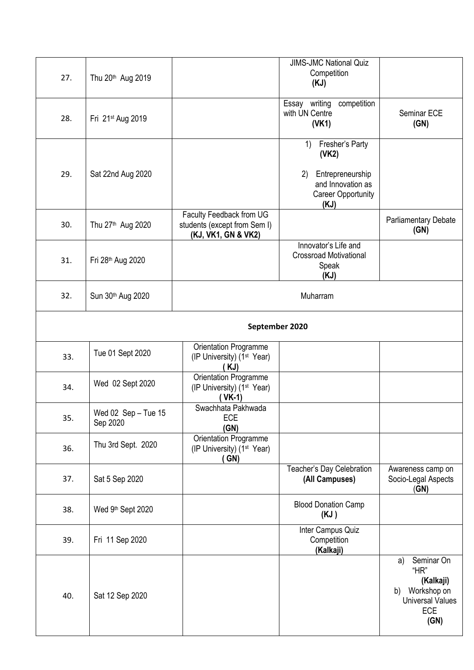| 27. | Thu 20 <sup>th</sup> Aug 2019   |                                                                                 | <b>JIMS-JMC National Quiz</b><br>Competition<br>(KJ)                          |                                                                                                             |  |  |
|-----|---------------------------------|---------------------------------------------------------------------------------|-------------------------------------------------------------------------------|-------------------------------------------------------------------------------------------------------------|--|--|
| 28. | Fri 21st Aug 2019               |                                                                                 | competition<br>Essay writing<br>with UN Centre<br>(VK1)                       | Seminar ECE<br>(GN)                                                                                         |  |  |
| 29. | Sat 22nd Aug 2020               |                                                                                 | Fresher's Party<br>1)<br>(VK2)<br>Entrepreneurship<br>2)<br>and Innovation as |                                                                                                             |  |  |
|     |                                 |                                                                                 | <b>Career Opportunity</b><br>(KJ)                                             |                                                                                                             |  |  |
| 30. | Thu 27 <sup>th</sup> Aug 2020   | Faculty Feedback from UG<br>students (except from Sem I)<br>(KJ, VK1, GN & VK2) |                                                                               | Parliamentary Debate<br>(GN)                                                                                |  |  |
| 31. | Fri 28th Aug 2020               |                                                                                 | Innovator's Life and<br><b>Crossroad Motivational</b><br>Speak<br>(KJ)        |                                                                                                             |  |  |
| 32. | Sun 30th Aug 2020               |                                                                                 | Muharram                                                                      |                                                                                                             |  |  |
|     | September 2020                  |                                                                                 |                                                                               |                                                                                                             |  |  |
| 33. | Tue 01 Sept 2020                | Orientation Programme<br>(IP University) (1 <sup>st</sup> Year)<br>( KJ)        |                                                                               |                                                                                                             |  |  |
| 34. | Wed 02 Sept 2020                | Orientation Programme<br>(IP University) (1 <sup>st</sup> Year)<br>$VK-1)$      |                                                                               |                                                                                                             |  |  |
| 35. | Wed 02 Sep - Tue 15<br>Sep 2020 | Swachhata Pakhwada<br>ECE<br>(GN)                                               |                                                                               |                                                                                                             |  |  |
| 36. | Thu 3rd Sept. 2020              | Orientation Programme<br>(IP University) (1 <sup>st</sup> Year)<br>GN)          |                                                                               |                                                                                                             |  |  |
| 37. | Sat 5 Sep 2020                  |                                                                                 | Teacher's Day Celebration<br>(All Campuses)                                   | Awareness camp on<br>Socio-Legal Aspects<br>(GN)                                                            |  |  |
| 38. | Wed 9th Sept 2020               |                                                                                 | <b>Blood Donation Camp</b><br>(KJ)                                            |                                                                                                             |  |  |
| 39. | Fri 11 Sep 2020                 |                                                                                 | Inter Campus Quiz<br>Competition<br>(Kalkaji)                                 |                                                                                                             |  |  |
| 40. | Sat 12 Sep 2020                 |                                                                                 |                                                                               | Seminar On<br>a)<br>"HR"<br>(Kalkaji)<br>Workshop on<br>b)<br><b>Universal Values</b><br><b>ECE</b><br>(GN) |  |  |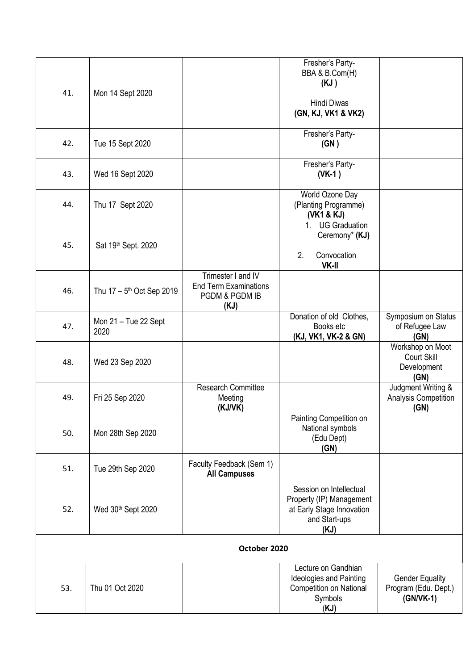| 41.<br>42.   | Mon 14 Sept 2020<br>Tue 15 Sept 2020    |                                                                              | (KJ)<br><b>Hindi Diwas</b><br>(GN, KJ, VK1 & VK2)<br>Fresher's Party-<br>(GN)                              |                                                             |
|--------------|-----------------------------------------|------------------------------------------------------------------------------|------------------------------------------------------------------------------------------------------------|-------------------------------------------------------------|
| 43.          | Wed 16 Sept 2020                        |                                                                              | Fresher's Party-<br>$(VK-1)$                                                                               |                                                             |
| 44.          | Thu 17 Sept 2020                        |                                                                              | World Ozone Day<br>(Planting Programme)<br>(VK1 & KJ)                                                      |                                                             |
| 45.          | Sat 19 <sup>th</sup> Sept. 2020         |                                                                              | <b>UG Graduation</b><br>1 <sub>1</sub><br>Ceremony* (KJ)<br>2.<br>Convocation<br>VK-II                     |                                                             |
| 46.          | Thu $17 - 5$ <sup>th</sup> Oct Sep 2019 | Trimester I and IV<br><b>End Term Examinations</b><br>PGDM & PGDM IB<br>(KJ) |                                                                                                            |                                                             |
| 47.          | Mon 21 - Tue 22 Sept<br>2020            |                                                                              | Donation of old Clothes,<br>Books etc<br>(KJ, VK1, VK-2 & GN)                                              | Symposium on Status<br>of Refugee Law<br>(GN)               |
| 48.          | Wed 23 Sep 2020                         |                                                                              |                                                                                                            | Workshop on Moot<br>Court Skill<br>Development<br>(GN)      |
| 49.          | Fri 25 Sep 2020                         | <b>Research Committee</b><br>Meeting<br>(KJ/VK)                              |                                                                                                            | Judgment Writing &<br><b>Analysis Competition</b><br>(GN)   |
| 50.          | Mon 28th Sep 2020                       |                                                                              | Painting Competition on<br>National symbols<br>(Edu Dept)<br>(GN)                                          |                                                             |
| 51.          | Tue 29th Sep 2020                       | Faculty Feedback (Sem 1)<br><b>All Campuses</b>                              |                                                                                                            |                                                             |
| 52.          | Wed 30th Sept 2020                      |                                                                              | Session on Intellectual<br>Property (IP) Management<br>at Early Stage Innovation<br>and Start-ups<br>(KJ)  |                                                             |
| October 2020 |                                         |                                                                              |                                                                                                            |                                                             |
| 53.          | Thu 01 Oct 2020                         |                                                                              | Lecture on Gandhian<br><b>Ideologies and Painting</b><br><b>Competition on National</b><br>Symbols<br>(KJ) | <b>Gender Equality</b><br>Program (Edu. Dept.)<br>(GN/VK-1) |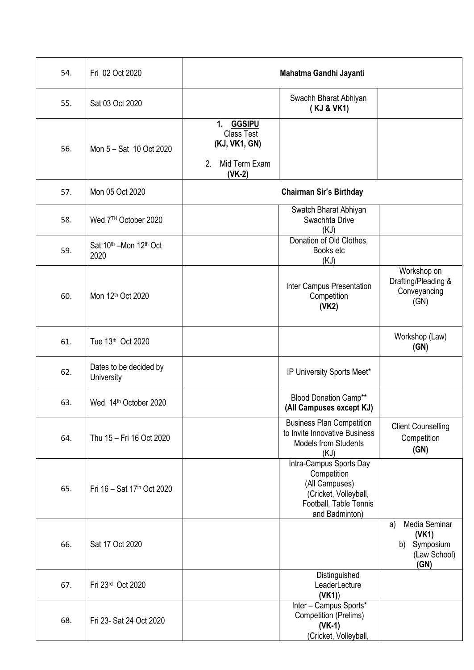| 54. | Fri 02 Oct 2020                                        |                                                                                              | Mahatma Gandhi Jayanti                                                                                                        |                                                                         |
|-----|--------------------------------------------------------|----------------------------------------------------------------------------------------------|-------------------------------------------------------------------------------------------------------------------------------|-------------------------------------------------------------------------|
| 55. | Sat 03 Oct 2020                                        |                                                                                              | Swachh Bharat Abhiyan<br>(KJ & VK1)                                                                                           |                                                                         |
| 56. | Mon 5 - Sat 10 Oct 2020                                | <b>GGSIPU</b><br>1.<br><b>Class Test</b><br>(KJ, VK1, GN)<br>Mid Term Exam<br>2.<br>$(VK-2)$ |                                                                                                                               |                                                                         |
| 57. | Mon 05 Oct 2020                                        |                                                                                              | <b>Chairman Sir's Birthday</b>                                                                                                |                                                                         |
| 58. | Wed 7TH October 2020                                   |                                                                                              | Swatch Bharat Abhiyan<br>Swachhta Drive<br>(KJ)                                                                               |                                                                         |
| 59. | Sat 10 <sup>th</sup> -Mon 12 <sup>th</sup> Oct<br>2020 |                                                                                              | Donation of Old Clothes.<br>Books etc<br>(KJ)                                                                                 |                                                                         |
| 60. | Mon 12th Oct 2020                                      |                                                                                              | Inter Campus Presentation<br>Competition<br>(VK2)                                                                             | Workshop on<br>Drafting/Pleading &<br>Conveyancing<br>(GN)              |
| 61. | Tue 13th Oct 2020                                      |                                                                                              |                                                                                                                               | Workshop (Law)<br>(GN)                                                  |
| 62. | Dates to be decided by<br>University                   |                                                                                              | IP University Sports Meet*                                                                                                    |                                                                         |
| 63. | Wed 14th October 2020                                  |                                                                                              | <b>Blood Donation Camp**</b><br>(All Campuses except KJ)                                                                      |                                                                         |
| 64. | Thu 15 - Fri 16 Oct 2020                               |                                                                                              | <b>Business Plan Competition</b><br>to Invite Innovative Business<br><b>Models from Students</b><br>(KJ)                      | <b>Client Counselling</b><br>Competition<br>(GN)                        |
| 65. | Fri $16 - Sat 17th Oct 2020$                           |                                                                                              | Intra-Campus Sports Day<br>Competition<br>(All Campuses)<br>(Cricket, Volleyball,<br>Football, Table Tennis<br>and Badminton) |                                                                         |
| 66. | Sat 17 Oct 2020                                        |                                                                                              |                                                                                                                               | Media Seminar<br>a)<br>(VK1)<br>Symposium<br>b)<br>(Law School)<br>(GN) |
| 67. | Fri 23rd Oct 2020                                      |                                                                                              | Distinguished<br>LeaderLecture<br>(VK1)                                                                                       |                                                                         |
| 68. | Fri 23- Sat 24 Oct 2020                                |                                                                                              | Inter - Campus Sports*<br><b>Competition (Prelims)</b><br>$(VK-1)$<br>(Cricket, Volleyball,                                   |                                                                         |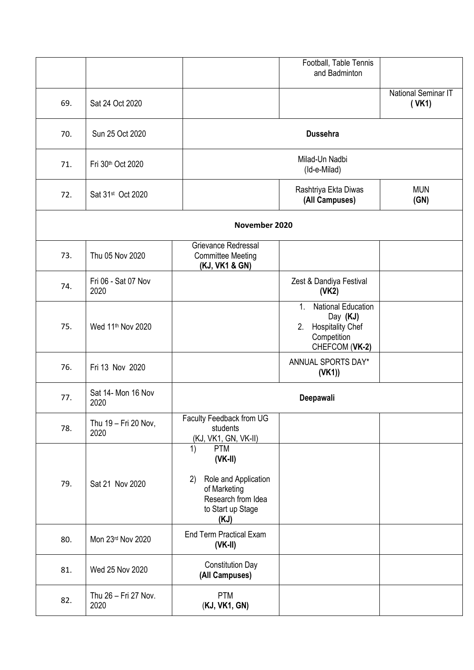|     |                               |                                                                                                                                | Football, Table Tennis<br>and Badminton                                                                |                                     |
|-----|-------------------------------|--------------------------------------------------------------------------------------------------------------------------------|--------------------------------------------------------------------------------------------------------|-------------------------------------|
|     |                               |                                                                                                                                |                                                                                                        |                                     |
| 69. | Sat 24 Oct 2020               |                                                                                                                                |                                                                                                        | <b>National Seminar IT</b><br>(VK1) |
| 70. | Sun 25 Oct 2020               |                                                                                                                                | <b>Dussehra</b>                                                                                        |                                     |
| 71. | Fri 30th Oct 2020             |                                                                                                                                | Milad-Un Nadbi<br>(Id-e-Milad)                                                                         |                                     |
| 72. | Sat 31 <sup>st</sup> Oct 2020 |                                                                                                                                | Rashtriya Ekta Diwas<br>(All Campuses)                                                                 | <b>MUN</b><br>(GN)                  |
|     |                               | November 2020                                                                                                                  |                                                                                                        |                                     |
| 73. | Thu 05 Nov 2020               | Grievance Redressal<br><b>Committee Meeting</b><br>(KJ, VK1 & GN)                                                              |                                                                                                        |                                     |
| 74. | Fri 06 - Sat 07 Nov<br>2020   |                                                                                                                                | Zest & Dandiya Festival<br>(VK2)                                                                       |                                     |
| 75. | Wed 11 <sup>th</sup> Nov 2020 |                                                                                                                                | National Education<br>1.<br>Day (KJ)<br><b>Hospitality Chef</b><br>2.<br>Competition<br>CHEFCOM (VK-2) |                                     |
| 76. | Fri 13 Nov 2020               |                                                                                                                                | ANNUAL SPORTS DAY*<br>(VK1)                                                                            |                                     |
| 77. | Sat 14- Mon 16 Nov<br>2020    |                                                                                                                                | Deepawali                                                                                              |                                     |
| 78. | Thu 19 - Fri 20 Nov,<br>2020  | Faculty Feedback from UG<br>students<br>(KJ, VK1, GN, VK-II)                                                                   |                                                                                                        |                                     |
| 79. | Sat 21 Nov 2020               | <b>PTM</b><br>1)<br>$(VK-II)$<br>Role and Application<br>2)<br>of Marketing<br>Research from Idea<br>to Start up Stage<br>(KJ) |                                                                                                        |                                     |
| 80. | Mon 23rd Nov 2020             | <b>End Term Practical Exam</b><br>$(VK-II)$                                                                                    |                                                                                                        |                                     |
| 81. | Wed 25 Nov 2020               | <b>Constitution Day</b><br>(All Campuses)                                                                                      |                                                                                                        |                                     |
| 82. | Thu 26 - Fri 27 Nov.<br>2020  | <b>PTM</b><br>(KJ, VK1, GN)                                                                                                    |                                                                                                        |                                     |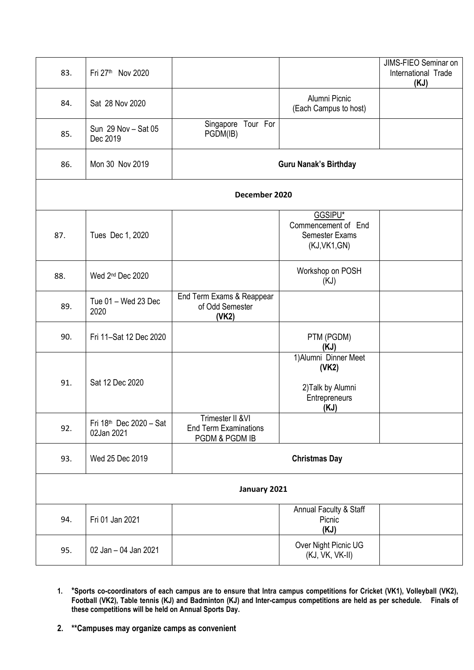| 83.          | Fri 27th Nov 2020                     |                                                                     |                                                                              | JIMS-FIEO Seminar on<br>International Trade<br>(KJ) |  |  |
|--------------|---------------------------------------|---------------------------------------------------------------------|------------------------------------------------------------------------------|-----------------------------------------------------|--|--|
| 84.          | Sat 28 Nov 2020                       |                                                                     | Alumni Picnic<br>(Each Campus to host)                                       |                                                     |  |  |
| 85.          | Sun 29 Nov - Sat 05<br>Dec 2019       | Tour For<br>Singapore<br>PGDM(IB)                                   |                                                                              |                                                     |  |  |
| 86.          | Mon 30 Nov 2019                       |                                                                     | <b>Guru Nanak's Birthday</b>                                                 |                                                     |  |  |
|              | December 2020                         |                                                                     |                                                                              |                                                     |  |  |
| 87.          | Tues Dec 1, 2020                      |                                                                     | GGSIPU*<br>Commencement of End<br><b>Semester Exams</b><br>(KJ,VK1,GN)       |                                                     |  |  |
| 88.          | Wed 2 <sup>nd</sup> Dec 2020          |                                                                     | Workshop on POSH<br>(KJ)                                                     |                                                     |  |  |
| 89.          | Tue 01 - Wed 23 Dec<br>2020           | End Term Exams & Reappear<br>of Odd Semester<br>(VK2)               |                                                                              |                                                     |  |  |
| 90.          | Fri 11-Sat 12 Dec 2020                |                                                                     | PTM (PGDM)<br>(KJ)                                                           |                                                     |  |  |
| 91.          | Sat 12 Dec 2020                       |                                                                     | 1) Alumni Dinner Meet<br>(VK2)<br>2) Talk by Alumni<br>Entrepreneurs<br>(KJ) |                                                     |  |  |
| 92.          | Fri 18th Dec 2020 - Sat<br>02Jan 2021 | Trimester II & VI<br><b>End Term Examinations</b><br>PGDM & PGDM IB |                                                                              |                                                     |  |  |
| 93.          | Wed 25 Dec 2019                       |                                                                     | <b>Christmas Day</b>                                                         |                                                     |  |  |
| January 2021 |                                       |                                                                     |                                                                              |                                                     |  |  |
| 94.          | Fri 01 Jan 2021                       |                                                                     | Annual Faculty & Staff<br>Picnic<br>(KJ)                                     |                                                     |  |  |
| 95.          | 02 Jan - 04 Jan 2021                  |                                                                     | Over Night Picnic UG<br>(KJ, VK, VK-II)                                      |                                                     |  |  |

- **1. \*Sports co-coordinators of each campus are to ensure that Intra campus competitions for Cricket (VK1), Volleyball (VK2), Football (VK2), Table tennis (KJ) and Badminton (KJ) and Inter-campus competitions are held as per schedule. Finals of these competitions will be held on Annual Sports Day.**
- **2. \*\*Campuses may organize camps as convenient**